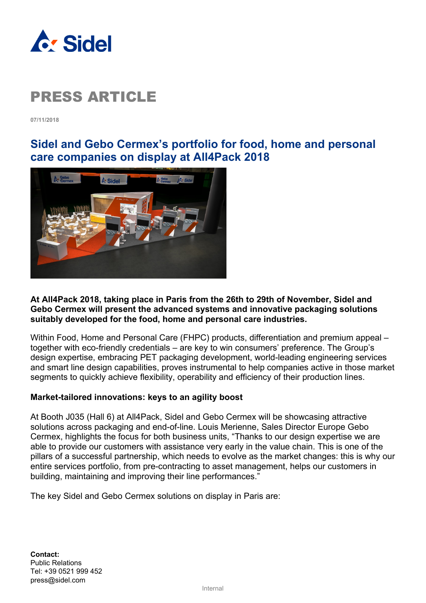

**07/11/2018**

#### **Sidel and Gebo Cermex's portfolio for food, home and personal care companies on display at All4Pack 2018**



#### **At All4Pack 2018, taking place in Paris from the 26th to 29th of November, Sidel and Gebo Cermex will present the advanced systems and innovative packaging solutions suitably developed for the food, home and personal care industries.**

Within Food, Home and Personal Care (FHPC) products, differentiation and premium appeal – together with eco-friendly credentials – are key to win consumers' preference. The Group's design expertise, embracing PET packaging development, world-leading engineering services and smart line design capabilities, proves instrumental to help companies active in those market segments to quickly achieve flexibility, operability and efficiency of their production lines.

#### **Market-tailored innovations: keys to an agility boost**

At Booth J035 (Hall 6) at All4Pack, Sidel and Gebo Cermex will be showcasing attractive solutions across packaging and end-of-line. Louis Merienne, Sales Director Europe Gebo Cermex, highlights the focus for both business units, "Thanks to our design expertise we are able to provide our customers with assistance very early in the value chain. This is one of the pillars of a successful partnership, which needs to evolve as the market changes: this is why our entire services portfolio, from pre-contracting to asset management, helps our customers in building, maintaining and improving their line performances."

The key Sidel and Gebo Cermex solutions on display in Paris are:

**Contact:** Public Relations Tel: +39 0521 999 452 press@sidel.com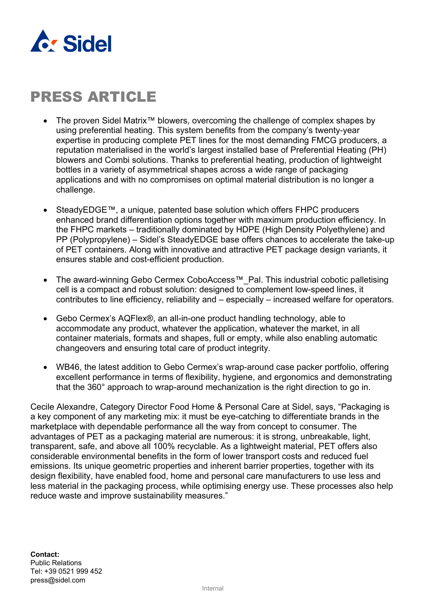

- The proven Sidel Matrix<sup>™</sup> blowers, overcoming the challenge of complex shapes by using preferential heating. This system benefits from the company's twenty-year expertise in producing complete PET lines for the most demanding FMCG producers, a reputation materialised in the world's largest installed base of Preferential Heating (PH) blowers and Combi solutions. Thanks to preferential heating, production of lightweight bottles in a variety of asymmetrical shapes across a wide range of packaging applications and with no compromises on optimal material distribution is no longer a challenge.
- SteadyEDGE™, a unique, patented base solution which offers FHPC producers enhanced brand differentiation options together with maximum production efficiency. In the FHPC markets – traditionally dominated by HDPE (High Density Polyethylene) and PP (Polypropylene) – Sidel's SteadyEDGE base offers chances to accelerate the take-up of PET containers. Along with innovative and attractive PET package design variants, it ensures stable and cost-efficient production.
- The award-winning Gebo Cermex CoboAccess™ Pal. This industrial cobotic palletising cell is a compact and robust solution: designed to complement low-speed lines, it contributes to line efficiency, reliability and – especially – increased welfare for operators.
- Gebo Cermex's AQFlex®, an all-in-one product handling technology, able to accommodate any product, whatever the application, whatever the market, in all container materials, formats and shapes, full or empty, while also enabling automatic changeovers and ensuring total care of product integrity.
- WB46, the latest addition to Gebo Cermex's wrap-around case packer portfolio, offering excellent performance in terms of flexibility, hygiene, and ergonomics and demonstrating that the 360° approach to wrap-around mechanization is the right direction to go in.

Cecile Alexandre, Category Director Food Home & Personal Care at Sidel, says, "Packaging is a key component of any marketing mix: it must be eye-catching to differentiate brands in the marketplace with dependable performance all the way from concept to consumer. The advantages of PET as a packaging material are numerous: it is strong, unbreakable, light, transparent, safe, and above all 100% recyclable. As a lightweight material, PET offers also considerable environmental benefits in the form of lower transport costs and reduced fuel emissions. Its unique geometric properties and inherent barrier properties, together with its design flexibility, have enabled food, home and personal care manufacturers to use less and less material in the packaging process, while optimising energy use. These processes also help reduce waste and improve sustainability measures."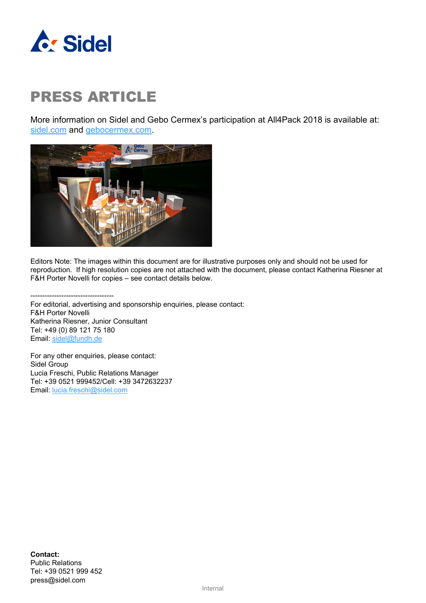

More information on Sidel and Gebo Cermex's participation at All4Pack 2018 is available at: [sidel.com](https://www.sidel.com/en/about/media/events/sidel-at-all4pack-ev-58) and [gebocermex.com.](https://www.gebocermex.com/en/about-us/news-press-events/events/gebo-cermex-at-all4pack-ev-13)



Editors Note: The images within this document are for illustrative purposes only and should not be used for reproduction. If high resolution copies are not attached with the document, please contact Katherina Riesner at F&H Porter Novelli for copies – see contact details below.

----------------------------------- For editorial, advertising and sponsorship enquiries, please contact: F&H Porter Novelli Katherina Riesner, Junior Consultant Tel: +49 (0) 89 121 75 180 Email: [sidel@fundh.de](mailto:sidel@fundh.de)

For any other enquiries, please contact: Sidel Group Lucia Freschi, Public Relations Manager Tel: +39 0521 999452/Cell: +39 3472632237 Email: [lucia.freschi@sidel.com](mailto:lucia.freschi@sidel.com)

**Contact:** Public Relations Tel: +39 0521 999 452 press@sidel.com